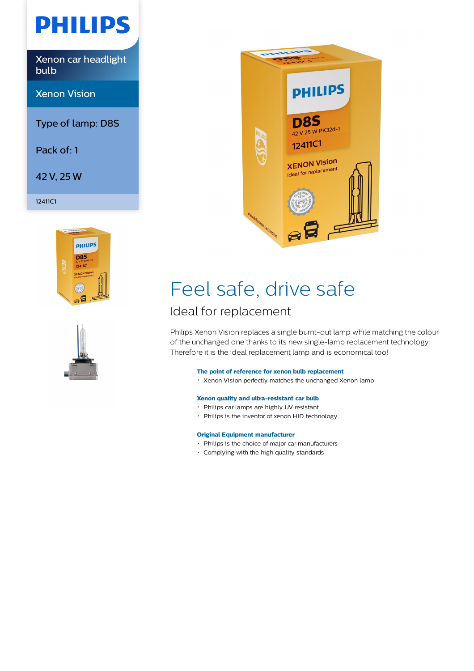# **PHILIPS**

Xenon car headlight bulb

Xenon Vision

Type of lamp: D8S

Pack of: 1

42 V, 25 W

12411C1







## Feel safe, drive safe

## Ideal for replacement

Philips Xenon Vision replaces a single burnt-out lamp while matching the colour of the unchanged one thanks to its new single-lamp replacement technology. Therefore it is the ideal replacement lamp and is economical too!

### **The point of reference for xenon bulb replacement**

Xenon Vision perfectly matches the unchanged Xenon lamp

### **Xenon quality and ultra-resistant car bulb**

- Philips car lamps are highly UV resistant
- Philips is the inventor of xenon HID technology

### **Original Equipment manufacturer**

- Philips is the choice of major car manufacturers
- Complying with the high quality standards